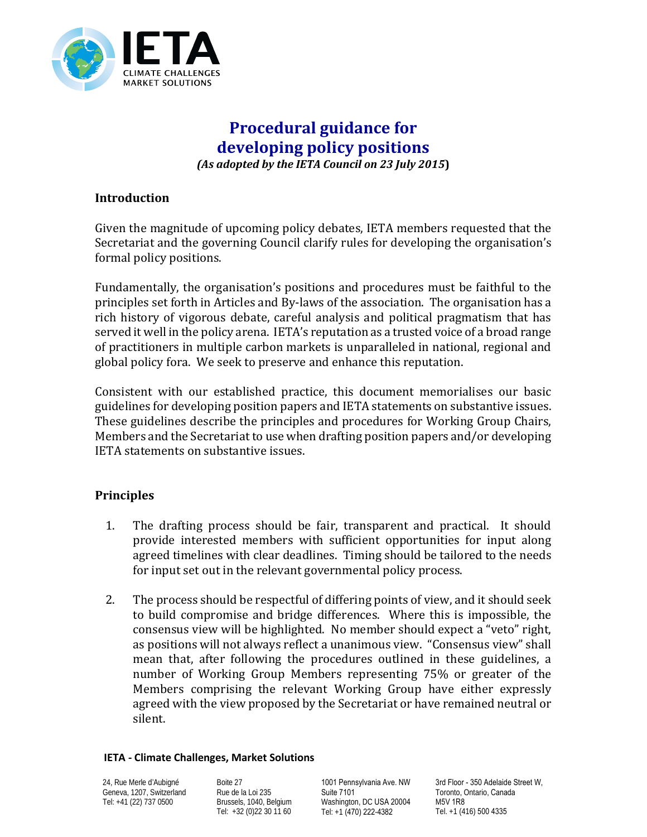

# **Procedural guidance for developing policy positions** *(As adopted by the IETA Council on 23 July 2015***)**

### **Introduction**

Given the magnitude of upcoming policy debates, IETA members requested that the Secretariat and the governing Council clarify rules for developing the organisation's formal policy positions.

Fundamentally, the organisation's positions and procedures must be faithful to the principles set forth in Articles and By-laws of the association. The organisation has a rich history of vigorous debate, careful analysis and political pragmatism that has served it well in the policy arena. IETA's reputation as a trusted voice of a broad range of practitioners in multiple carbon markets is unparalleled in national, regional and global policy fora. We seek to preserve and enhance this reputation.

Consistent with our established practice, this document memorialises our basic guidelines for developing position papers and IETA statements on substantive issues. These guidelines describe the principles and procedures for Working Group Chairs, Members and the Secretariat to use when drafting position papers and/or developing IETA statements on substantive issues.

### **Principles**

- 1. The drafting process should be fair, transparent and practical. It should provide interested members with sufficient opportunities for input along agreed timelines with clear deadlines. Timing should be tailored to the needs for input set out in the relevant governmental policy process.
- 2. The process should be respectful of differing points of view, and it should seek to build compromise and bridge differences. Where this is impossible, the consensus view will be highlighted. No member should expect a "veto" right, as positions will not always reflect a unanimous view. "Consensus view" shall mean that, after following the procedures outlined in these guidelines, a number of Working Group Members representing 75% or greater of the Members comprising the relevant Working Group have either expressly agreed with the view proposed by the Secretariat or have remained neutral or silent.

#### **IETA - Climate Challenges, Market Solutions**

24, Rue Merle d'Aubigné Geneva, 1207, Switzerland Tel: +41 (22) 737 0500

Boite 27 Rue de la Loi 235 Brussels, 1040, Belgium Tel: +32 (0)22 30 11 60

1001 Pennsylvania Ave. NW Suite 7101 Washington, DC USA 20004 Tel: +1 (470) 222-4382

3rd Floor - 350 Adelaide Street W, Toronto, Ontario, Canada M5V 1R8 Tel. +1 (416) 500 4335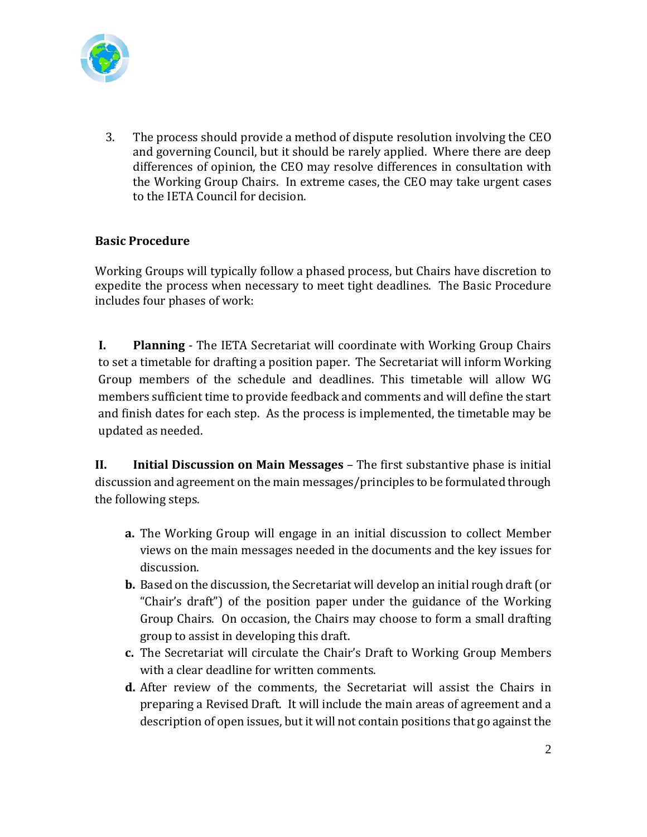

3. The process should provide a method of dispute resolution involving the CEO and governing Council, but it should be rarely applied. Where there are deep differences of opinion, the CEO may resolve differences in consultation with the Working Group Chairs. In extreme cases, the CEO may take urgent cases to the IETA Council for decision.

# **Basic Procedure**

Working Groups will typically follow a phased process, but Chairs have discretion to expedite the process when necessary to meet tight deadlines. The Basic Procedure includes four phases of work:

**I. Planning** - The IETA Secretariat will coordinate with Working Group Chairs to set a timetable for drafting a position paper. The Secretariat will inform Working Group members of the schedule and deadlines. This timetable will allow WG members sufficient time to provide feedback and comments and will define the start and finish dates for each step. As the process is implemented, the timetable may be updated as needed.

**II. Initial Discussion on Main Messages** – The first substantive phase is initial discussion and agreement on the main messages/principles to be formulated through the following steps.

- **a.** The Working Group will engage in an initial discussion to collect Member views on the main messages needed in the documents and the key issues for discussion.
- **b.** Based on the discussion, the Secretariat will develop an initial rough draft (or "Chair's draft") of the position paper under the guidance of the Working Group Chairs. On occasion, the Chairs may choose to form a small drafting group to assist in developing this draft.
- **c.** The Secretariat will circulate the Chair's Draft to Working Group Members with a clear deadline for written comments.
- **d.** After review of the comments, the Secretariat will assist the Chairs in preparing a Revised Draft. It will include the main areas of agreement and a description of open issues, but it will not contain positions that go against the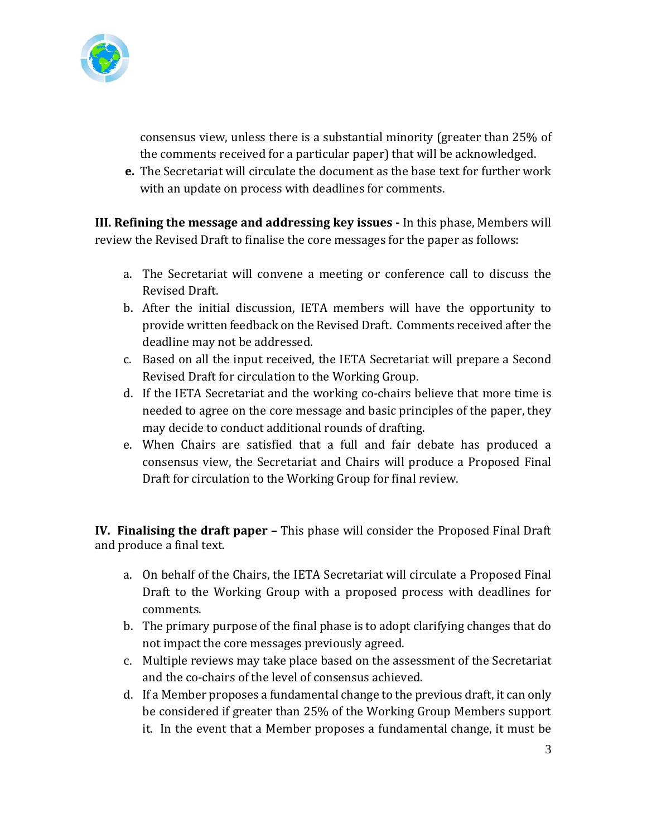

consensus view, unless there is a substantial minority (greater than 25% of the comments received for a particular paper) that will be acknowledged.

**e.** The Secretariat will circulate the document as the base text for further work with an update on process with deadlines for comments.

**III. Refining the message and addressing key issues -** In this phase, Members will review the Revised Draft to finalise the core messages for the paper as follows:

- a. The Secretariat will convene a meeting or conference call to discuss the Revised Draft.
- b. After the initial discussion, IETA members will have the opportunity to provide written feedback on the Revised Draft. Comments received after the deadline may not be addressed.
- c. Based on all the input received, the IETA Secretariat will prepare a Second Revised Draft for circulation to the Working Group.
- d. If the IETA Secretariat and the working co-chairs believe that more time is needed to agree on the core message and basic principles of the paper, they may decide to conduct additional rounds of drafting.
- e. When Chairs are satisfied that a full and fair debate has produced a consensus view, the Secretariat and Chairs will produce a Proposed Final Draft for circulation to the Working Group for final review.

**IV. Finalising the draft paper –** This phase will consider the Proposed Final Draft and produce a final text.

- a. On behalf of the Chairs, the IETA Secretariat will circulate a Proposed Final Draft to the Working Group with a proposed process with deadlines for comments.
- b. The primary purpose of the final phase is to adopt clarifying changes that do not impact the core messages previously agreed.
- c. Multiple reviews may take place based on the assessment of the Secretariat and the co-chairs of the level of consensus achieved.
- d. If a Member proposes a fundamental change to the previous draft, it can only be considered if greater than 25% of the Working Group Members support it. In the event that a Member proposes a fundamental change, it must be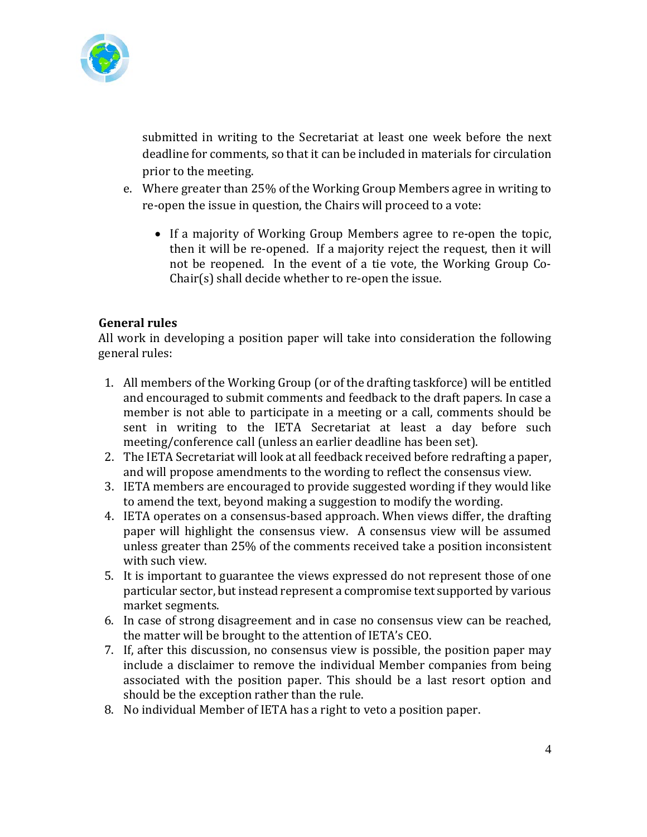

submitted in writing to the Secretariat at least one week before the next deadline for comments, so that it can be included in materials for circulation prior to the meeting.

- e. Where greater than 25% of the Working Group Members agree in writing to re-open the issue in question, the Chairs will proceed to a vote:
	- If a majority of Working Group Members agree to re-open the topic, then it will be re-opened. If a majority reject the request, then it will not be reopened. In the event of a tie vote, the Working Group Co-Chair(s) shall decide whether to re-open the issue.

# **General rules**

All work in developing a position paper will take into consideration the following general rules:

- 1. All members of the Working Group (or of the drafting taskforce) will be entitled and encouraged to submit comments and feedback to the draft papers. In case a member is not able to participate in a meeting or a call, comments should be sent in writing to the IETA Secretariat at least a day before such meeting/conference call (unless an earlier deadline has been set).
- 2. The IETA Secretariat will look at all feedback received before redrafting a paper, and will propose amendments to the wording to reflect the consensus view.
- 3. IETA members are encouraged to provide suggested wording if they would like to amend the text, beyond making a suggestion to modify the wording.
- 4. IETA operates on a consensus-based approach. When views differ, the drafting paper will highlight the consensus view. A consensus view will be assumed unless greater than 25% of the comments received take a position inconsistent with such view.
- 5. It is important to guarantee the views expressed do not represent those of one particular sector, but instead represent a compromise text supported by various market segments.
- 6. In case of strong disagreement and in case no consensus view can be reached, the matter will be brought to the attention of IETA's CEO.
- 7. If, after this discussion, no consensus view is possible, the position paper may include a disclaimer to remove the individual Member companies from being associated with the position paper. This should be a last resort option and should be the exception rather than the rule.
- 8. No individual Member of IETA has a right to veto a position paper.